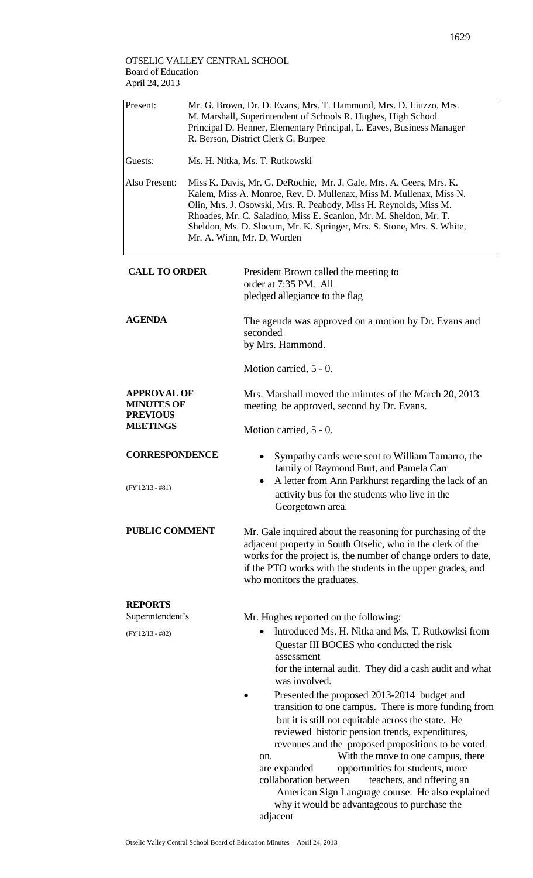| Present:                                                   | Mr. G. Brown, Dr. D. Evans, Mrs. T. Hammond, Mrs. D. Liuzzo, Mrs.<br>M. Marshall, Superintendent of Schools R. Hughes, High School<br>Principal D. Henner, Elementary Principal, L. Eaves, Business Manager<br>R. Berson, District Clerk G. Burpee                                                                                                                                          |                                                                                                                                                                                                                                                                                                                                                                                                                                                                                                                                           |  |  |  |  |
|------------------------------------------------------------|---------------------------------------------------------------------------------------------------------------------------------------------------------------------------------------------------------------------------------------------------------------------------------------------------------------------------------------------------------------------------------------------|-------------------------------------------------------------------------------------------------------------------------------------------------------------------------------------------------------------------------------------------------------------------------------------------------------------------------------------------------------------------------------------------------------------------------------------------------------------------------------------------------------------------------------------------|--|--|--|--|
| Guests:                                                    | Ms. H. Nitka, Ms. T. Rutkowski                                                                                                                                                                                                                                                                                                                                                              |                                                                                                                                                                                                                                                                                                                                                                                                                                                                                                                                           |  |  |  |  |
| Also Present:                                              | Miss K. Davis, Mr. G. DeRochie, Mr. J. Gale, Mrs. A. Geers, Mrs. K.<br>Kalem, Miss A. Monroe, Rev. D. Mullenax, Miss M. Mullenax, Miss N.<br>Olin, Mrs. J. Osowski, Mrs. R. Peabody, Miss H. Reynolds, Miss M.<br>Rhoades, Mr. C. Saladino, Miss E. Scanlon, Mr. M. Sheldon, Mr. T.<br>Sheldon, Ms. D. Slocum, Mr. K. Springer, Mrs. S. Stone, Mrs. S. White,<br>Mr. A. Winn, Mr. D. Worden |                                                                                                                                                                                                                                                                                                                                                                                                                                                                                                                                           |  |  |  |  |
| <b>CALL TO ORDER</b>                                       |                                                                                                                                                                                                                                                                                                                                                                                             | President Brown called the meeting to<br>order at 7:35 PM. All<br>pledged allegiance to the flag                                                                                                                                                                                                                                                                                                                                                                                                                                          |  |  |  |  |
| <b>AGENDA</b>                                              |                                                                                                                                                                                                                                                                                                                                                                                             | The agenda was approved on a motion by Dr. Evans and<br>seconded<br>by Mrs. Hammond.                                                                                                                                                                                                                                                                                                                                                                                                                                                      |  |  |  |  |
|                                                            |                                                                                                                                                                                                                                                                                                                                                                                             | Motion carried, 5 - 0.                                                                                                                                                                                                                                                                                                                                                                                                                                                                                                                    |  |  |  |  |
| <b>APPROVAL OF</b><br><b>MINUTES OF</b><br><b>PREVIOUS</b> |                                                                                                                                                                                                                                                                                                                                                                                             | Mrs. Marshall moved the minutes of the March 20, 2013<br>meeting be approved, second by Dr. Evans.                                                                                                                                                                                                                                                                                                                                                                                                                                        |  |  |  |  |
| <b>MEETINGS</b>                                            |                                                                                                                                                                                                                                                                                                                                                                                             | Motion carried, 5 - 0.                                                                                                                                                                                                                                                                                                                                                                                                                                                                                                                    |  |  |  |  |
| <b>CORRESPONDENCE</b><br>$(FY'12/13 - #81)$                |                                                                                                                                                                                                                                                                                                                                                                                             | Sympathy cards were sent to William Tamarro, the<br>family of Raymond Burt, and Pamela Carr<br>• A letter from Ann Parkhurst regarding the lack of an<br>activity bus for the students who live in the<br>Georgetown area.                                                                                                                                                                                                                                                                                                                |  |  |  |  |
| <b>PUBLIC COMMENT</b>                                      |                                                                                                                                                                                                                                                                                                                                                                                             | Mr. Gale inquired about the reasoning for purchasing of the<br>adjacent property in South Otselic, who in the clerk of the<br>works for the project is, the number of change orders to date,<br>if the PTO works with the students in the upper grades, and<br>who monitors the graduates.                                                                                                                                                                                                                                                |  |  |  |  |
| <b>REPORTS</b>                                             |                                                                                                                                                                                                                                                                                                                                                                                             |                                                                                                                                                                                                                                                                                                                                                                                                                                                                                                                                           |  |  |  |  |
| Superintendent's                                           |                                                                                                                                                                                                                                                                                                                                                                                             | Mr. Hughes reported on the following:                                                                                                                                                                                                                                                                                                                                                                                                                                                                                                     |  |  |  |  |
| $(FY'12/13 - #82)$                                         |                                                                                                                                                                                                                                                                                                                                                                                             | Introduced Ms. H. Nitka and Ms. T. Rutkowksi from<br>Questar III BOCES who conducted the risk<br>assessment<br>for the internal audit. They did a cash audit and what<br>was involved.                                                                                                                                                                                                                                                                                                                                                    |  |  |  |  |
|                                                            |                                                                                                                                                                                                                                                                                                                                                                                             | Presented the proposed 2013-2014 budget and<br>transition to one campus. There is more funding from<br>but it is still not equitable across the state. He<br>reviewed historic pension trends, expenditures,<br>revenues and the proposed propositions to be voted<br>With the move to one campus, there<br>on.<br>opportunities for students, more<br>are expanded<br>collaboration between<br>teachers, and offering an<br>American Sign Language course. He also explained<br>why it would be advantageous to purchase the<br>adjacent |  |  |  |  |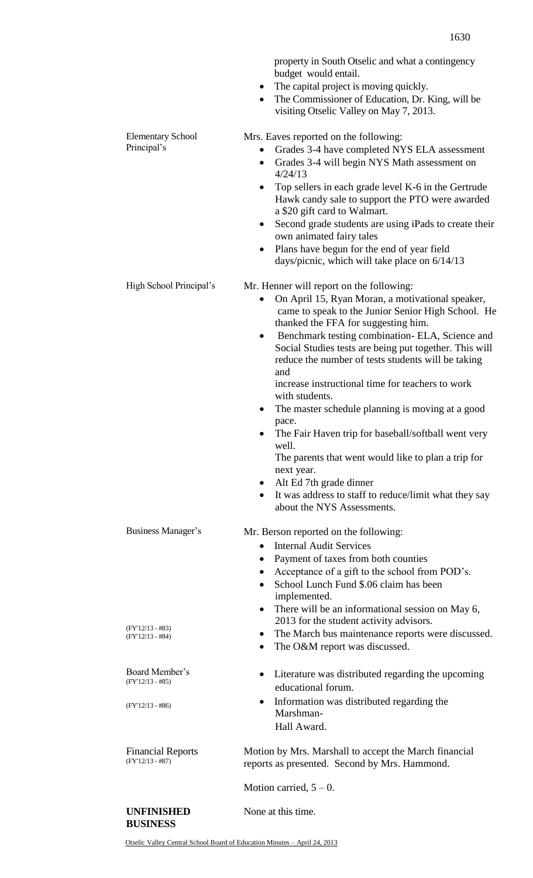property in South Otselic and what a contingency budget would entail.

- The capital project is moving quickly.
- The Commissioner of Education, Dr. King, will be visiting Otselic Valley on May 7, 2013.

Elementary School Principal's Mrs. Eaves reported on the following: Grades 3-4 have completed NYS ELA assessment Grades 3-4 will begin NYS Math assessment on 4/24/13 • Top sellers in each grade level K-6 in the Gertrude Hawk candy sale to support the PTO were awarded a \$20 gift card to Walmart. Second grade students are using iPads to create their own animated fairy tales Plans have begun for the end of year field days/picnic, which will take place on 6/14/13 High School Principal's Mr. Henner will report on the following: • On April 15, Ryan Moran, a motivational speaker, came to speak to the Junior Senior High School. He thanked the FFA for suggesting him. • Benchmark testing combination- ELA, Science and Social Studies tests are being put together. This will reduce the number of tests students will be taking and increase instructional time for teachers to work with students. The master schedule planning is moving at a good pace. The Fair Haven trip for baseball/softball went very well. The parents that went would like to plan a trip for next year. Alt Ed 7th grade dinner It was address to staff to reduce/limit what they say about the NYS Assessments. Business Manager's (FY'12/13 - #83) (FY'12/13 - #84) Mr. Berson reported on the following: • Internal Audit Services Payment of taxes from both counties Acceptance of a gift to the school from POD's. School Lunch Fund \$.06 claim has been implemented. There will be an informational session on May 6, 2013 for the student activity advisors. The March bus maintenance reports were discussed. The O&M report was discussed. Board Member's (FY'12/13 - #85) (FY'12/13 - #86) Literature was distributed regarding the upcoming educational forum. • Information was distributed regarding the Marshman-Hall Award. Financial Reports

Motion by Mrs. Marshall to accept the March financial reports as presented. Second by Mrs. Hammond.

Motion carried,  $5 - 0$ .

## **UNFINISHED BUSINESS**

(FY'12/13 - #87)

None at this time.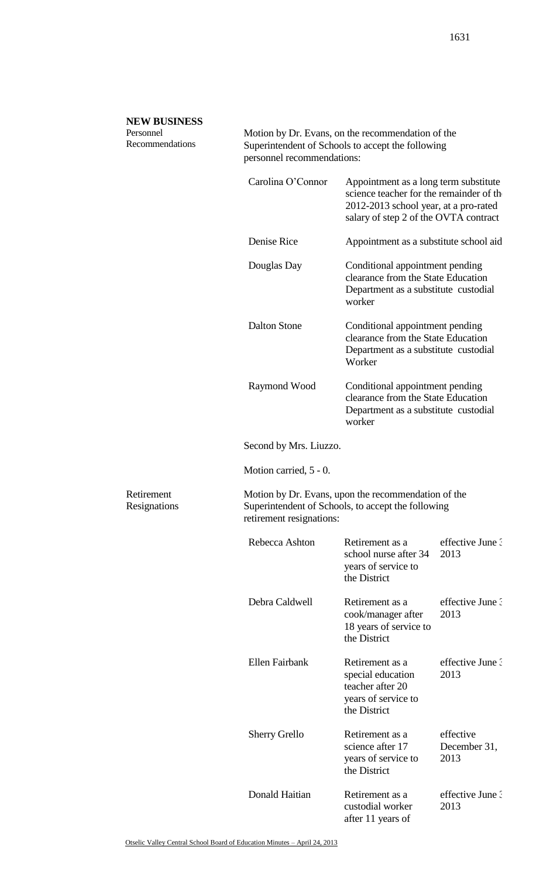## **NEW BUSINESS**

Personnel Recommendations

Retirement Resignations

Motion by Dr. Evans, on the recommendation of the Superintendent of Schools to accept the following personnel recommendations:

| Carolina O'Connor        | Appointment as a long term substitute<br>science teacher for the remainder of the<br>2012-2013 school year, at a pro-rated<br>salary of step 2 of the OVTA contract |                                   |  |  |  |
|--------------------------|---------------------------------------------------------------------------------------------------------------------------------------------------------------------|-----------------------------------|--|--|--|
| Denise Rice              | Appointment as a substitute school aid                                                                                                                              |                                   |  |  |  |
| Douglas Day              | Conditional appointment pending<br>clearance from the State Education<br>Department as a substitute custodial<br>worker                                             |                                   |  |  |  |
| <b>Dalton Stone</b>      | Conditional appointment pending<br>clearance from the State Education<br>Department as a substitute custodial<br>Worker                                             |                                   |  |  |  |
| Raymond Wood             | Conditional appointment pending<br>clearance from the State Education<br>Department as a substitute custodial<br>worker                                             |                                   |  |  |  |
| Second by Mrs. Liuzzo.   |                                                                                                                                                                     |                                   |  |  |  |
| Motion carried, 5 - 0.   |                                                                                                                                                                     |                                   |  |  |  |
| retirement resignations: | Motion by Dr. Evans, upon the recommendation of the<br>Superintendent of Schools, to accept the following                                                           |                                   |  |  |  |
| Rebecca Ashton           | Retirement as a<br>school nurse after 34<br>years of service to<br>the District                                                                                     | effective June 3<br>2013          |  |  |  |
| Debra Caldwell           | Retirement as a<br>cook/manager after<br>18 years of service to<br>the District                                                                                     | effective June 3<br>2013          |  |  |  |
| Ellen Fairbank           | Retirement as a<br>special education<br>teacher after 20<br>years of service to<br>the District                                                                     | effective June 3<br>2013          |  |  |  |
| <b>Sherry Grello</b>     | Retirement as a<br>science after 17<br>years of service to<br>the District                                                                                          | effective<br>December 31,<br>2013 |  |  |  |
| Donald Haitian           | Retirement as a<br>custodial worker<br>after 11 years of                                                                                                            | effective June ?<br>2013          |  |  |  |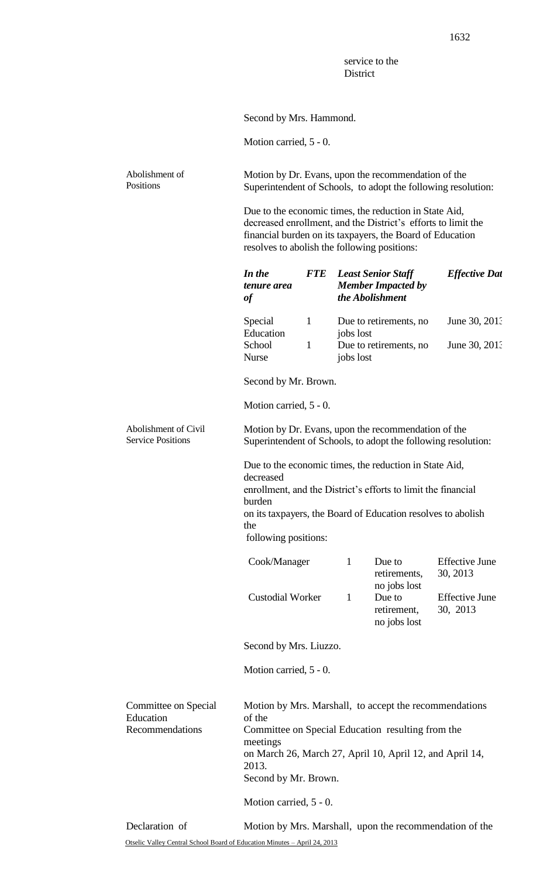service to the **District** 

Second by Mrs. Hammond.

Motion carried, 5 - 0.

Abolishment of Positions Motion by Dr. Evans, upon the recommendation of the Superintendent of Schools, to adopt the following resolution:

> Due to the economic times, the reduction in State Aid, decreased enrollment, and the District's efforts to limit the financial burden on its taxpayers, the Board of Education resolves to abolish the following positions:

|                                                      | In the<br>tenure area<br>of                                                                                                                                                                                                                              | <b>FTE</b>   |              | <b>Least Senior Staff</b><br><b>Member Impacted by</b><br>the Abolishment | <b>Effective Dat</b>              |  |
|------------------------------------------------------|----------------------------------------------------------------------------------------------------------------------------------------------------------------------------------------------------------------------------------------------------------|--------------|--------------|---------------------------------------------------------------------------|-----------------------------------|--|
|                                                      | Special<br>Education                                                                                                                                                                                                                                     | $\mathbf{1}$ | jobs lost    | Due to retirements, no                                                    | June 30, 2013                     |  |
|                                                      | School<br><b>Nurse</b>                                                                                                                                                                                                                                   | $\mathbf{1}$ | jobs lost    | Due to retirements, no                                                    | June 30, 2013                     |  |
|                                                      | Second by Mr. Brown.                                                                                                                                                                                                                                     |              |              |                                                                           |                                   |  |
|                                                      | Motion carried, 5 - 0.                                                                                                                                                                                                                                   |              |              |                                                                           |                                   |  |
| Abolishment of Civil<br><b>Service Positions</b>     | Motion by Dr. Evans, upon the recommendation of the<br>Superintendent of Schools, to adopt the following resolution:                                                                                                                                     |              |              |                                                                           |                                   |  |
|                                                      | Due to the economic times, the reduction in State Aid,<br>decreased<br>enrollment, and the District's efforts to limit the financial<br>burden<br>on its taxpayers, the Board of Education resolves to abolish<br>the<br>following positions:            |              |              |                                                                           |                                   |  |
|                                                      |                                                                                                                                                                                                                                                          |              |              |                                                                           |                                   |  |
|                                                      | Cook/Manager                                                                                                                                                                                                                                             |              | $\mathbf{1}$ | Due to<br>retirements,<br>no jobs lost                                    | <b>Effective June</b><br>30, 2013 |  |
|                                                      | <b>Custodial Worker</b>                                                                                                                                                                                                                                  |              | $\mathbf{1}$ | Due to<br>retirement,<br>no jobs lost                                     | <b>Effective June</b><br>30, 2013 |  |
|                                                      | Second by Mrs. Liuzzo.                                                                                                                                                                                                                                   |              |              |                                                                           |                                   |  |
|                                                      | Motion carried, 5 - 0.                                                                                                                                                                                                                                   |              |              |                                                                           |                                   |  |
| Committee on Special<br>Education<br>Recommendations | Motion by Mrs. Marshall, to accept the recommendations<br>of the<br>Committee on Special Education resulting from the<br>meetings<br>on March 26, March 27, April 10, April 12, and April 14,<br>2013.<br>Second by Mr. Brown.<br>Motion carried, 5 - 0. |              |              |                                                                           |                                   |  |
| Declaration of                                       | Motion by Mrs. Marshall, upon the recommendation of the                                                                                                                                                                                                  |              |              |                                                                           |                                   |  |
|                                                      |                                                                                                                                                                                                                                                          |              |              |                                                                           |                                   |  |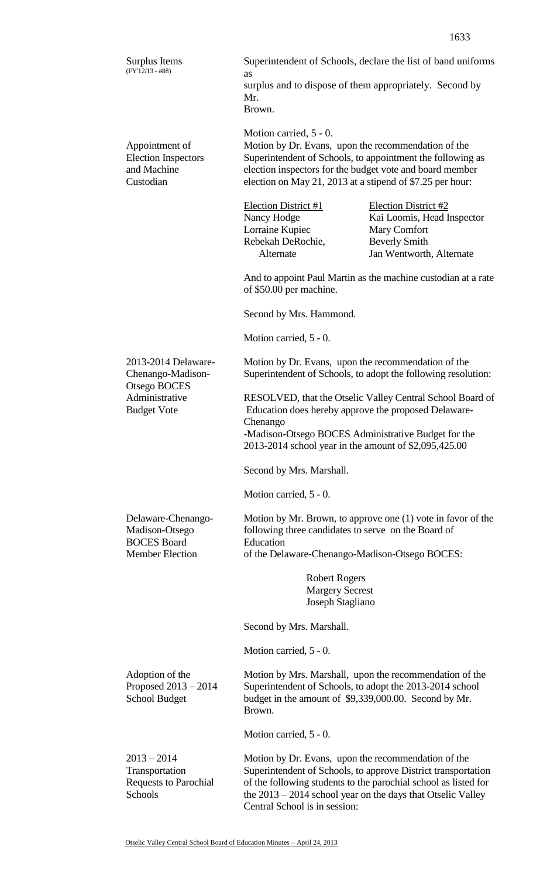surplus and to dispose of them appropriately. Second by Mr. Brown. Motion carried, 5 - 0. Appointment of Election Inspectors and Machine Custodian Motion by Dr. Evans, upon the recommendation of the Superintendent of Schools, to appointment the following as election inspectors for the budget vote and board member election on May 21, 2013 at a stipend of \$7.25 per hour: Election District #1 Election District #2<br>Nancy Hodge Kai Loomis, Head I Kai Loomis, Head Inspector Lorraine Kupiec Mary Comfort Rebekah DeRochie, Beverly Smith Alternate Jan Wentworth, Alternate And to appoint Paul Martin as the machine custodian at a rate of \$50.00 per machine. Second by Mrs. Hammond. Motion carried, 5 - 0. 2013-2014 Delaware-Chenango-Madison-Otsego BOCES Administrative Budget Vote Motion by Dr. Evans, upon the recommendation of the Superintendent of Schools, to adopt the following resolution: RESOLVED, that the Otselic Valley Central School Board of Education does hereby approve the proposed Delaware-Chenango -Madison-Otsego BOCES Administrative Budget for the 2013-2014 school year in the amount of \$2,095,425.00 Second by Mrs. Marshall. Motion carried, 5 - 0. Delaware-Chenango-Madison-Otsego BOCES Board Member Election Motion by Mr. Brown, to approve one (1) vote in favor of the following three candidates to serve on the Board of Education of the Delaware-Chenango-Madison-Otsego BOCES: Robert Rogers Margery Secrest Joseph Stagliano Second by Mrs. Marshall. Motion carried, 5 - 0. Adoption of the Proposed 2013 – 2014 School Budget Motion by Mrs. Marshall, upon the recommendation of the Superintendent of Schools, to adopt the 2013-2014 school budget in the amount of \$9,339,000.00. Second by Mr. Brown. Motion carried, 5 - 0.  $2013 - 2014$ Transportation Requests to Parochial **Schools** Motion by Dr. Evans, upon the recommendation of the Superintendent of Schools, to approve District transportation of the following students to the parochial school as listed for the 2013 – 2014 school year on the days that Otselic Valley

Surplus Items (FY'12/13 - #88)

as

Central School is in session: